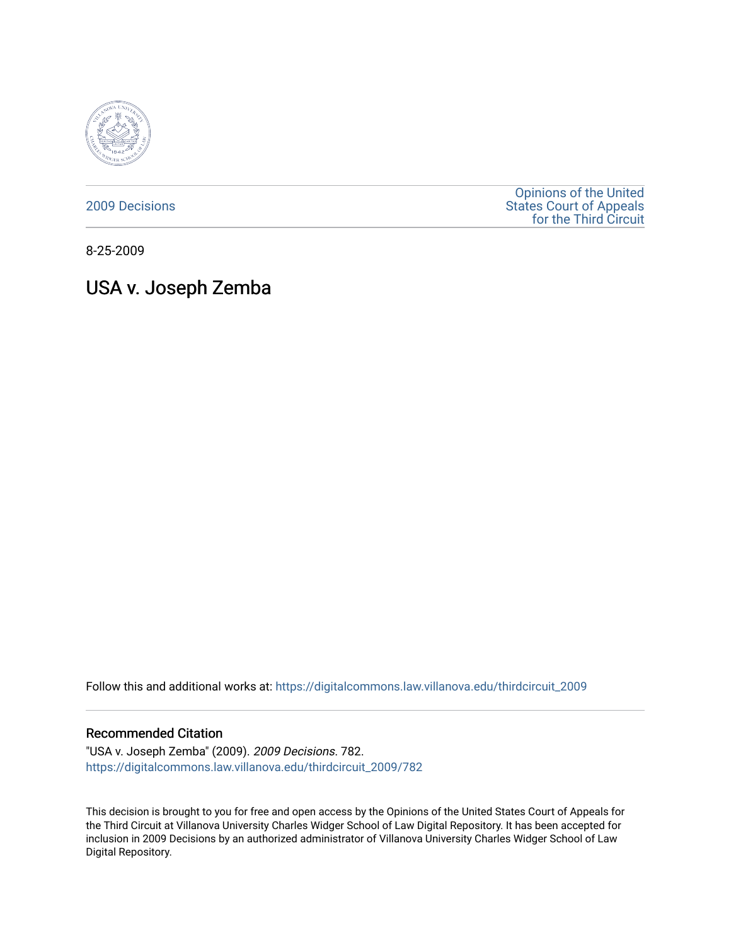

[2009 Decisions](https://digitalcommons.law.villanova.edu/thirdcircuit_2009)

[Opinions of the United](https://digitalcommons.law.villanova.edu/thirdcircuit)  [States Court of Appeals](https://digitalcommons.law.villanova.edu/thirdcircuit)  [for the Third Circuit](https://digitalcommons.law.villanova.edu/thirdcircuit) 

8-25-2009

# USA v. Joseph Zemba

Follow this and additional works at: [https://digitalcommons.law.villanova.edu/thirdcircuit\\_2009](https://digitalcommons.law.villanova.edu/thirdcircuit_2009?utm_source=digitalcommons.law.villanova.edu%2Fthirdcircuit_2009%2F782&utm_medium=PDF&utm_campaign=PDFCoverPages) 

## Recommended Citation

"USA v. Joseph Zemba" (2009). 2009 Decisions. 782. [https://digitalcommons.law.villanova.edu/thirdcircuit\\_2009/782](https://digitalcommons.law.villanova.edu/thirdcircuit_2009/782?utm_source=digitalcommons.law.villanova.edu%2Fthirdcircuit_2009%2F782&utm_medium=PDF&utm_campaign=PDFCoverPages)

This decision is brought to you for free and open access by the Opinions of the United States Court of Appeals for the Third Circuit at Villanova University Charles Widger School of Law Digital Repository. It has been accepted for inclusion in 2009 Decisions by an authorized administrator of Villanova University Charles Widger School of Law Digital Repository.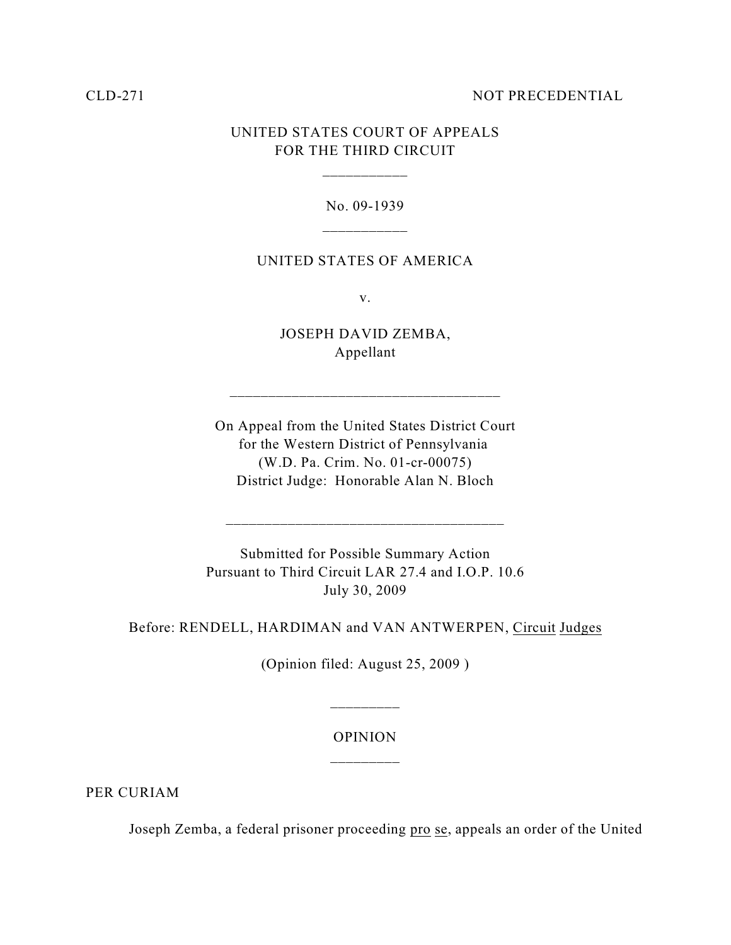### CLD-271 NOT PRECEDENTIAL

# UNITED STATES COURT OF APPEALS FOR THE THIRD CIRCUIT

\_\_\_\_\_\_\_\_\_\_\_

### No. 09-1939

### UNITED STATES OF AMERICA

v.

JOSEPH DAVID ZEMBA, Appellant

\_\_\_\_\_\_\_\_\_\_\_\_\_\_\_\_\_\_\_\_\_\_\_\_\_\_\_\_\_\_\_\_\_\_\_

On Appeal from the United States District Court for the Western District of Pennsylvania (W.D. Pa. Crim. No. 01-cr-00075) District Judge: Honorable Alan N. Bloch

Submitted for Possible Summary Action Pursuant to Third Circuit LAR 27.4 and I.O.P. 10.6 July 30, 2009

\_\_\_\_\_\_\_\_\_\_\_\_\_\_\_\_\_\_\_\_\_\_\_\_\_\_\_\_\_\_\_\_\_\_\_\_

Before: RENDELL, HARDIMAN and VAN ANTWERPEN, Circuit Judges

(Opinion filed: August 25, 2009 )

### OPINION

\_\_\_\_\_\_\_\_\_

PER CURIAM

Joseph Zemba, a federal prisoner proceeding pro se, appeals an order of the United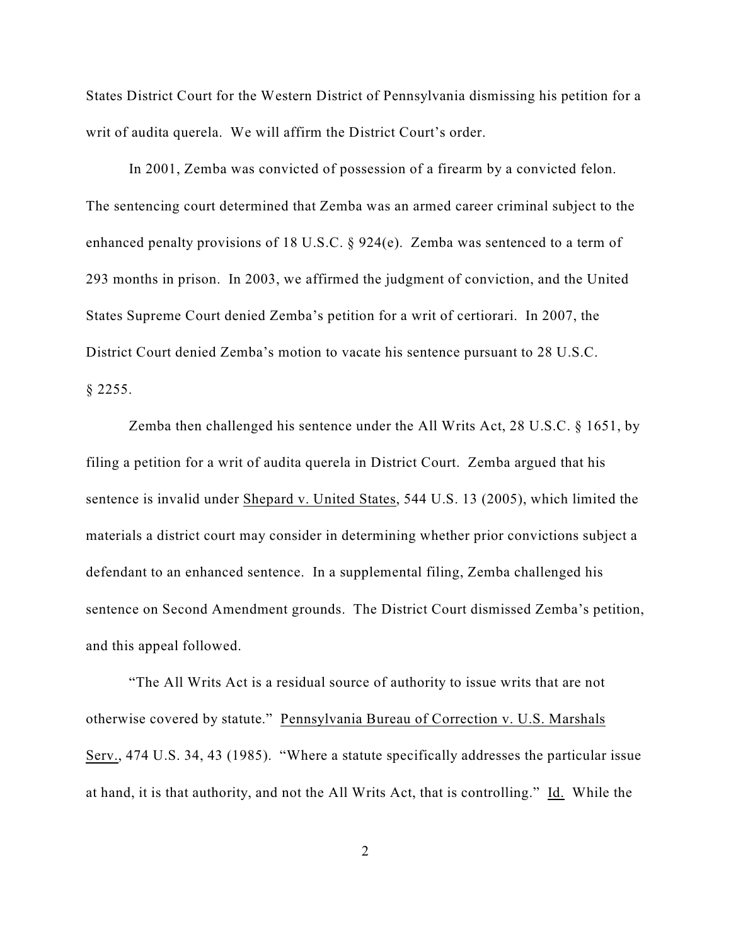States District Court for the Western District of Pennsylvania dismissing his petition for a writ of audita querela. We will affirm the District Court's order.

In 2001, Zemba was convicted of possession of a firearm by a convicted felon. The sentencing court determined that Zemba was an armed career criminal subject to the enhanced penalty provisions of 18 U.S.C. § 924(e). Zemba was sentenced to a term of 293 months in prison. In 2003, we affirmed the judgment of conviction, and the United States Supreme Court denied Zemba's petition for a writ of certiorari. In 2007, the District Court denied Zemba's motion to vacate his sentence pursuant to 28 U.S.C. § 2255.

Zemba then challenged his sentence under the All Writs Act, 28 U.S.C. § 1651, by filing a petition for a writ of audita querela in District Court. Zemba argued that his sentence is invalid under Shepard v. United States, 544 U.S. 13 (2005), which limited the materials a district court may consider in determining whether prior convictions subject a defendant to an enhanced sentence. In a supplemental filing, Zemba challenged his sentence on Second Amendment grounds. The District Court dismissed Zemba's petition, and this appeal followed.

"The All Writs Act is a residual source of authority to issue writs that are not otherwise covered by statute." Pennsylvania Bureau of Correction v. U.S. Marshals Serv., 474 U.S. 34, 43 (1985). "Where a statute specifically addresses the particular issue at hand, it is that authority, and not the All Writs Act, that is controlling." Id. While the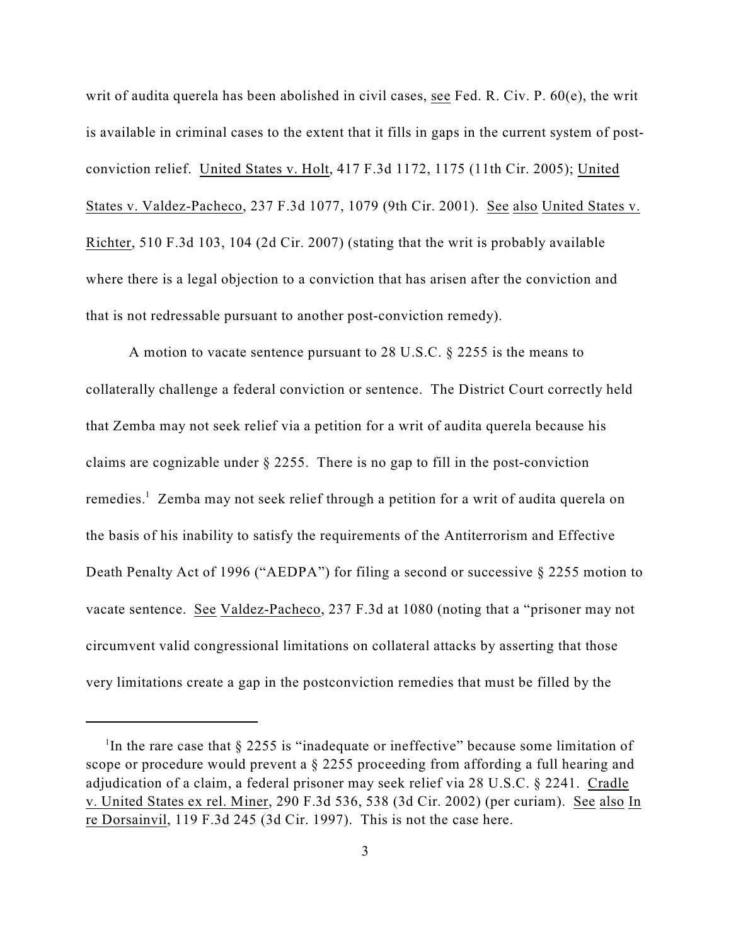writ of audita querela has been abolished in civil cases, see Fed. R. Civ. P. 60(e), the writ is available in criminal cases to the extent that it fills in gaps in the current system of postconviction relief. United States v. Holt, 417 F.3d 1172, 1175 (11th Cir. 2005); United States v. Valdez-Pacheco, 237 F.3d 1077, 1079 (9th Cir. 2001). See also United States v. Richter, 510 F.3d 103, 104 (2d Cir. 2007) (stating that the writ is probably available where there is a legal objection to a conviction that has arisen after the conviction and that is not redressable pursuant to another post-conviction remedy).

A motion to vacate sentence pursuant to 28 U.S.C. § 2255 is the means to collaterally challenge a federal conviction or sentence. The District Court correctly held that Zemba may not seek relief via a petition for a writ of audita querela because his claims are cognizable under  $\S 2255$ . There is no gap to fill in the post-conviction remedies.<sup>1</sup> Zemba may not seek relief through a petition for a writ of audita querela on the basis of his inability to satisfy the requirements of the Antiterrorism and Effective Death Penalty Act of 1996 ("AEDPA") for filing a second or successive § 2255 motion to vacate sentence. See Valdez-Pacheco, 237 F.3d at 1080 (noting that a "prisoner may not circumvent valid congressional limitations on collateral attacks by asserting that those very limitations create a gap in the postconviction remedies that must be filled by the

<sup>&</sup>lt;sup>1</sup>In the rare case that  $\S$  2255 is "inadequate or ineffective" because some limitation of scope or procedure would prevent a § 2255 proceeding from affording a full hearing and adjudication of a claim, a federal prisoner may seek relief via 28 U.S.C. § 2241. Cradle v. United States ex rel. Miner, 290 F.3d 536, 538 (3d Cir. 2002) (per curiam). See also In re Dorsainvil, 119 F.3d 245 (3d Cir. 1997). This is not the case here.